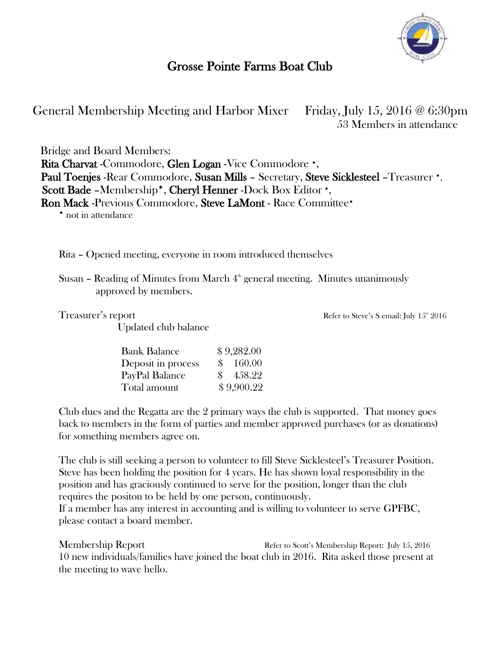

## Grosse Pointe Farms Boat Club

General Membership Meeting and Harbor Mixer Friday, July 15, 2016 @ 6:30pm 53 Members in attendance

Bridge and Board Members: Rita Charvat -Commodore, Glen Logan -Vice Commodore \*, Paul Toenjes -Rear Commodore, Susan Mills – Secretary, Steve Sicklesteel –Treasurer \*, Scott Bade –Membership\*, Cheryl Henner -Dock Box Editor \*, Ron Mack -Previous Commodore, Steve LaMont - Race Committee\*

\* not in attendance

Rita – Opened meeting, everyone in room introduced themselves

Susan – Reading of Minutes from March  $4<sup>th</sup>$  general meeting. Minutes unanimously approved by members.

Updated club balance

Treasurer's report Treasurer's report and the steve's Semail: July 15<sup>th</sup> 2016

| <b>Bank Balance</b> | \$9,282.00 |
|---------------------|------------|
| Deposit in process  | \$160.00   |
| PayPal Balance      | \$458.22   |
| Total amount        | \$9,900.22 |

Club dues and the Regatta are the 2 primary ways the club is supported. That money goes back to members in the form of parties and member approved purchases (or as donations) for something members agree on.

The club is still seeking a person to volunteer to fill Steve Sicklesteel's Treasurer Position. Steve has been holding the position for 4 years. He has shown loyal responsibility in the position and has graciously continued to serve for the position, longer than the club requires the positon to be held by one person, continuously.

If a member has any interest in accounting and is willing to volunteer to serve GPFBC, please contact a board member.

Membership Report **Refers** Refer to Scott's Membership Report: July 15, 2016 10 new individuals/families have joined the boat club in 2016. Rita asked those present at the meeting to wave hello.